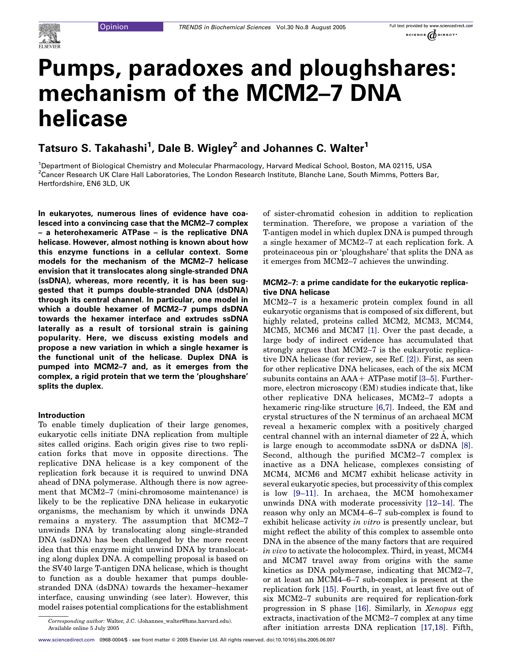

# Pumps, paradoxes and ploughshares: mechanism of the MCM2–7 DNA helicase

# Tatsuro S. Takahashi<sup>1</sup>, Dale B. Wigley<sup>2</sup> and Johannes C. Walter<sup>1</sup>

1 Department of Biological Chemistry and Molecular Pharmacology, Harvard Medical School, Boston, MA 02115, USA <sup>2</sup>Cancer Research UK Clare Hall Laboratories, The London Research Institute, Blanche Lane, South Mimms, Potters Bar, Hertfordshire, EN6 3LD, UK

In eukaryotes, numerous lines of evidence have coalesced into a convincing case that the MCM2–7 complex – a heterohexameric ATPase – is the replicative DNA helicase. However, almost nothing is known about how this enzyme functions in a cellular context. Some models for the mechanism of the MCM2–7 helicase envision that it translocates along single-stranded DNA (ssDNA), whereas, more recently, it is has been suggested that it pumps double-stranded DNA (dsDNA) through its central channel. In particular, one model in which a double hexamer of MCM2–7 pumps dsDNA towards the hexamer interface and extrudes ssDNA laterally as a result of torsional strain is gaining popularity. Here, we discuss existing models and propose a new variation in which a single hexamer is the functional unit of the helicase. Duplex DNA is pumped into MCM2–7 and, as it emerges from the complex, a rigid protein that we term the 'ploughshare' splits the duplex.

#### Introduction

To enable timely duplication of their large genomes, eukaryotic cells initiate DNA replication from multiple sites called origins. Each origin gives rise to two replication forks that move in opposite directions. The replicative DNA helicase is a key component of the replication fork because it is required to unwind DNA ahead of DNA polymerase. Although there is now agreement that MCM2–7 (mini-chromosome maintenance) is likely to be the replicative DNA helicase in eukaryotic organisms, the mechanism by which it unwinds DNA remains a mystery. The assumption that MCM2–7 unwinds DNA by translocating along single-stranded DNA (ssDNA) has been challenged by the more recent idea that this enzyme might unwind DNA by translocating along duplex DNA. A compelling proposal is based on the SV40 large T-antigen DNA helicase, which is thought to function as a double hexamer that pumps doublestranded DNA (dsDNA) towards the hexamer–hexamer interface, causing unwinding (see later). However, this model raises potential complications for the establishment of sister-chromatid cohesion in addition to replication termination. Therefore, we propose a variation of the T-antigen model in which duplex DNA is pumped through a single hexamer of MCM2–7 at each replication fork. A proteinaceous pin or 'ploughshare' that splits the DNA as it emerges from MCM2–7 achieves the unwinding.

## MCM2–7: a prime candidate for the eukaryotic replicative DNA helicase

MCM2–7 is a hexameric protein complex found in all eukaryotic organisms that is composed of six different, but highly related, proteins called MCM2, MCM3, MCM4, MCM5, MCM6 and MCM7 [\[1\]](#page-6-0). Over the past decade, a large body of indirect evidence has accumulated that strongly argues that MCM2–7 is the eukaryotic replicative DNA helicase (for review, see Ref. [\[2\]\)](#page-6-0). First, as seen for other replicative DNA helicases, each of the six MCM subunits contains an  $AA+ATP$ ase motif  $[3-5]$ . Furthermore, electron microscopy (EM) studies indicate that, like other replicative DNA helicases, MCM2–7 adopts a hexameric ring-like structure [\[6,7\]](#page-6-0). Indeed, the EM and crystal structures of the N terminus of an archaeal MCM reveal a hexameric complex with a positively charged central channel with an internal diameter of  $22 \text{ Å}$ , which is large enough to accommodate ssDNA or dsDNA [\[8\]](#page-6-0). Second, although the purified MCM2–7 complex is inactive as a DNA helicase, complexes consisting of MCM4, MCM6 and MCM7 exhibit helicase activity in several eukaryotic species, but processivity of this complex is low [\[9–11\].](#page-6-0) In archaea, the MCM homohexamer unwinds DNA with moderate processivity [\[12–14\].](#page-6-0) The reason why only an MCM4–6–7 sub-complex is found to exhibit helicase activity in vitro is presently unclear, but might reflect the ability of this complex to assemble onto DNA in the absence of the many factors that are required in vivo to activate the holocomplex. Third, in yeast, MCM4 and MCM7 travel away from origins with the same kinetics as DNA polymerase, indicating that MCM2–7, or at least an MCM4–6–7 sub-complex is present at the replication fork [\[15\].](#page-6-0) Fourth, in yeast, at least five out of six MCM2–7 subunits are required for replication-fork progression in S phase [\[16\]](#page-6-0). Similarly, in Xenopus egg extracts, inactivation of the MCM2–7 complex at any time after initiation arrests DNA replication [\[17,18\]](#page-6-0). Fifth,

Corresponding author: Walter, J.C. (Johannes\_walter@hms.harvard.edu). Available online 5 July 2005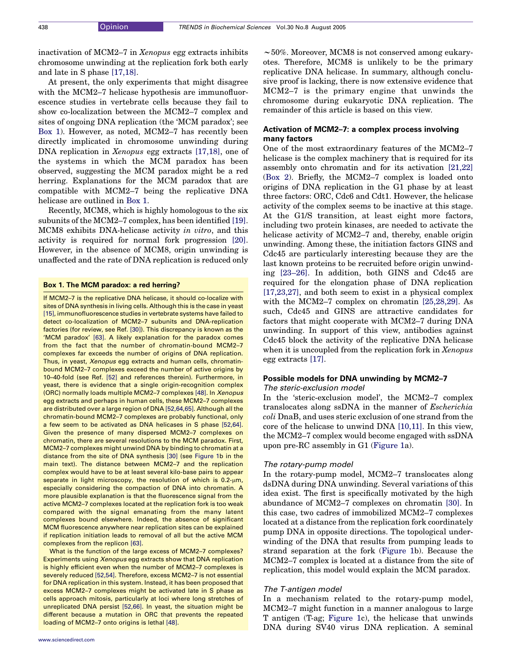inactivation of MCM2–7 in Xenopus egg extracts inhibits chromosome unwinding at the replication fork both early and late in S phase [\[17,18\]](#page-6-0).

At present, the only experiments that might disagree with the MCM2–7 helicase hypothesis are immunofluorescence studies in vertebrate cells because they fail to show co-localization between the MCM2–7 complex and sites of ongoing DNA replication (the 'MCM paradox'; see Box 1). However, as noted, MCM2–7 has recently been directly implicated in chromosome unwinding during DNA replication in Xenopus egg extracts [\[17,18\]](#page-6-0), one of the systems in which the MCM paradox has been observed, suggesting the MCM paradox might be a red herring. Explanations for the MCM paradox that are compatible with MCM2–7 being the replicative DNA helicase are outlined in Box 1.

Recently, MCM8, which is highly homologous to the six subunits of the MCM2–7 complex, has been identified [\[19\]](#page-6-0). MCM8 exhibits DNA-helicase activity in vitro, and this activity is required for normal fork progression [\[20\]](#page-6-0). However, in the absence of MCM8, origin unwinding is unaffected and the rate of DNA replication is reduced only

#### Box 1. The MCM paradox: a red herring?

If MCM2–7 is the replicative DNA helicase, it should co-localize with sites of DNA synthesis in living cells. Although this is the case in yeast [\[15\],](#page-6-0) immunofluorescence studies in vertebrate systems have failed to detect co-localization of MCM2–7 subunits and DNA-replication factories (for review, see Ref. [\[30\]](#page-6-0)). This discrepancy is known as the 'MCM paradox' [\[63\].](#page-7-0) A likely explanation for the paradox comes from the fact that the number of chromatin-bound MCM2–7 complexes far exceeds the number of origins of DNA replication. Thus, in yeast, Xenopus egg extracts and human cells, chromatinbound MCM2–7 complexes exceed the number of active origins by 10–40-fold (see Ref. [\[52\]](#page-7-0) and references therein). Furthermore, in yeast, there is evidence that a single origin-recognition complex (ORC) normally loads multiple MCM2–7 complexes [\[48\].](#page-7-0) In Xenopus egg extracts and perhaps in human cells, these MCM2–7 complexes are distributed over a large region of DNA [\[52,64,65\].](#page-7-0) Although all the chromatin-bound MCM2–7 complexes are probably functional, only a few seem to be activated as DNA helicases in S phase [\[52,64\].](#page-7-0) Given the presence of many dispersed MCM2–7 complexes on chromatin, there are several resolutions to the MCM paradox. First, MCM2–7 complexes might unwind DNA by binding to chromatin at a distance from the site of DNA synthesis [\[30\]](#page-6-0) (see [Figure 1b](#page-3-0) in the main text). The distance between MCM2–7 and the replication complex would have to be at least several kilo-base pairs to appear separate in light microscopy, the resolution of which is  $0.2$ - $\mu$ m, especially considering the compaction of DNA into chromatin. A more plausible explanation is that the fluorescence signal from the active MCM2–7 complexes located at the replication fork is too weak compared with the signal emanating from the many latent complexes bound elsewhere. Indeed, the absence of significant MCM fluorescence anywhere near replication sites can be explained if replication initiation leads to removal of all but the active MCM complexes from the replicon [\[63\]](#page-7-0).

What is the function of the large excess of MCM2–7 complexes? Experiments using Xenopus egg extracts show that DNA replication is highly efficient even when the number of MCM2–7 complexes is severely reduced [\[52,54\]](#page-7-0). Therefore, excess MCM2–7 is not essential for DNA replication in this system. Instead, it has been proposed that excess MCM2–7 complexes might be activated late in S phase as cells approach mitosis, particularly at loci where long stretches of unreplicated DNA persist [\[52,66\].](#page-7-0) In yeast, the situation might be different because a mutation in ORC that prevents the repeated loading of MCM2–7 onto origins is lethal [\[48\]](#page-7-0).

 $\sim$  50%. Moreover, MCM8 is not conserved among eukaryotes. Therefore, MCM8 is unlikely to be the primary replicative DNA helicase. In summary, although conclusive proof is lacking, there is now extensive evidence that MCM2–7 is the primary engine that unwinds the chromosome during eukaryotic DNA replication. The remainder of this article is based on this view.

## Activation of MCM2–7: a complex process involving many factors

One of the most extraordinary features of the MCM2–7 helicase is the complex machinery that is required for its assembly onto chromatin and for its activation [\[21,22\]](#page-6-0) (Box 2). Briefly, the MCM2–7 complex is loaded onto origins of DNA replication in the G1 phase by at least three factors: ORC, Cdc6 and Cdt1. However, the helicase activity of the complex seems to be inactive at this stage. At the G1/S transition, at least eight more factors, including two protein kinases, are needed to activate the helicase activity of MCM2–7 and, thereby, enable origin unwinding. Among these, the initiation factors GINS and Cdc45 are particularly interesting because they are the last known proteins to be recruited before origin unwinding [\[23–26\].](#page-6-0) In addition, both GINS and Cdc45 are required for the elongation phase of DNA replication [\[17,23,27\],](#page-6-0) and both seem to exist in a physical complex with the MCM2–7 complex on chromatin [\[25,28,29\].](#page-6-0) As such, Cdc45 and GINS are attractive candidates for factors that might cooperate with MCM2–7 during DNA unwinding. In support of this view, antibodies against Cdc45 block the activity of the replicative DNA helicase when it is uncoupled from the replication fork in Xenopus egg extracts [\[17\]](#page-6-0).

# Possible models for DNA unwinding by MCM2–7

# The steric-exclusion model

In the 'steric-exclusion model', the MCM2–7 complex translocates along ssDNA in the manner of Escherichia coli DnaB, and uses steric exclusion of one strand from the core of the helicase to unwind DNA [\[10,11\]](#page-6-0). In this view, the MCM2–7 complex would become engaged with ssDNA upon pre-RC assembly in G1 ([Figure 1a](#page-3-0)).

#### The rotary-pump model

In the rotary-pump model, MCM2–7 translocates along dsDNA during DNA unwinding. Several variations of this idea exist. The first is specifically motivated by the high abundance of MCM2–7 complexes on chromatin [\[30\].](#page-6-0) In this case, two cadres of immobilized MCM2–7 complexes located at a distance from the replication fork coordinately pump DNA in opposite directions. The topological underwinding of the DNA that results from pumping leads to strand separation at the fork ([Figure 1b](#page-3-0)). Because the MCM2–7 complex is located at a distance from the site of replication, this model would explain the MCM paradox.

#### The T-antigen model

In a mechanism related to the rotary-pump model, MCM2–7 might function in a manner analogous to large T antigen (T-ag; [Figure 1c](#page-3-0)), the helicase that unwinds DNA during SV40 virus DNA replication. A seminal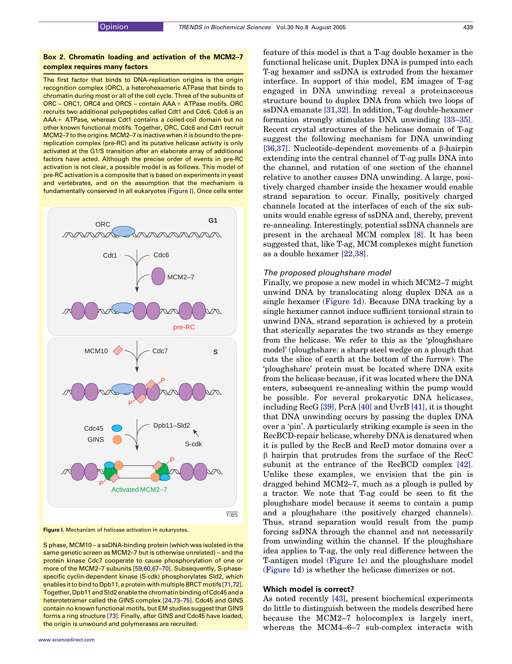### Box 2. Chromatin loading and activation of the MCM2–7 complex requires many factors

The first factor that binds to DNA-replication origins is the origin recognition complex (ORC), a heterohexameric ATPase that binds to chromatin during most or all of the cell cycle. Three of the subunits of  $ORC - ORC1$ ,  $ORC4$  and  $ORC5 -$  contain  $AA + ATP$ ase motifs. ORC recruits two additional polypeptides called Cdt1 and Cdc6. Cdc6 is an  $AA+ATPase$ , whereas Cdt1 contains a coiled-coil domain but no other known functional motifs. Together, ORC, Cdc6 and Cdt1 recruit MCM2–7 to the origins. MCM2–7 is inactive when it is bound to the prereplication complex (pre-RC) and its putative helicase activity is only activated at the G1/S transition after an elaborate array of additional factors have acted. Although the precise order of events in pre-RC activation is not clear, a possible model is as follows. This model of pre-RC activation is a composite that is based on experiments in yeast and vertebrates, and on the assumption that the mechanism is fundamentally conserved in all eukaryotes (Figure I). Once cells enter



Figure I. Mechanism of helicase activation in eukaryotes.

S phase, MCM10 – a ssDNA-binding protein (which was isolated in the same genetic screen as MCM2–7 but is otherwise unrelated) – and the protein kinase Cdc7 cooperate to cause phosphorylation of one or more of the MCM2–7 subunits [\[59,60,67–70\]](#page-7-0). Subsequently, S-phasespecific cyclin-dependent kinase (S-cdk) phosphorylates Sld2, which enablesit to bind to Dpb11, a protein with multiple BRCT motifs [\[71,72\].](#page-7-0) Together, Dpb11and Sld2enable the chromatinbindingofCdc45and a heterotetramer called the GINS complex [\[24,73–75\]](#page-6-0). Cdc45 and GINS contain no known functional motifs, but EM studies suggest that GINS forms a ring structure [\[73\].](#page-7-0) Finally, after GINS and Cdc45 have loaded, the origin is unwound and polymerases are recruited.

feature of this model is that a T-ag double hexamer is the functional helicase unit. Duplex DNA is pumped into each T-ag hexamer and ssDNA is extruded from the hexamer interface. In support of this model, EM images of T-ag engaged in DNA unwinding reveal a proteinaceous structure bound to duplex DNA from which two loops of ssDNA emanate [\[31,32\]](#page-6-0). In addition, T-ag double-hexamer formation strongly stimulates DNA unwinding [\[33–35\]](#page-6-0). Recent crystal structures of the helicase domain of T-ag suggest the following mechanism for DNA unwinding [\[36,37\].](#page-6-0) Nucleotide-dependent movements of a  $\beta$ -hairpin extending into the central channel of T-ag pulls DNA into the channel, and rotation of one section of the channel relative to another causes DNA unwinding. A large, positively charged chamber inside the hexamer would enable strand separation to occur. Finally, positively charged channels located at the interfaces of each of the six subunits would enable egress of ssDNA and, thereby, prevent re-annealing. Interestingly, potential ssDNA channels are present in the archaeal MCM complex [\[8\].](#page-6-0) It has been suggested that, like T-ag, MCM complexes might function as a double hexamer [\[22,38\].](#page-6-0)

#### The proposed ploughshare model

Finally, we propose a new model in which MCM2–7 might unwind DNA by translocating along duplex DNA as a single hexamer [\(Figure 1](#page-3-0)d). Because DNA tracking by a single hexamer cannot induce sufficient torsional strain to unwind DNA, strand separation is achieved by a protein that sterically separates the two strands as they emerge from the helicase. We refer to this as the 'ploughshare model' (ploughshare: a sharp steel wedge on a plough that cuts the slice of earth at the bottom of the furrow). The 'ploughshare' protein must be located where DNA exits from the helicase because, if it was located where the DNA enters, subsequent re-annealing within the pump would be possible. For several prokaryotic DNA helicases, including RecG [\[39\],](#page-6-0) PcrA [\[40\]](#page-6-0) and UvrB [\[41\]](#page-6-0), it is thought that DNA unwinding occurs by passing the duplex DNA over a 'pin'. A particularly striking example is seen in the RecBCD-repair helicase, whereby DNA is denatured when it is pulled by the RecB and RecD motor domains over a b hairpin that protrudes from the surface of the RecC subunit at the entrance of the RecBCD complex [\[42\]](#page-6-0). Unlike these examples, we envision that the pin is dragged behind MCM2–7, much as a plough is pulled by a tractor. We note that T-ag could be seen to fit the ploughshare model because it seems to contain a pump and a ploughshare (the positively charged channels). Thus, strand separation would result from the pump forcing ssDNA through the channel and not necessarily from unwinding within the channel. If the ploughshare idea applies to T-ag, the only real difference between the T-antigen model ([Figure 1](#page-3-0)c) and the ploughshare model ([Figure 1](#page-3-0)d) is whether the helicase dimerizes or not.

#### Which model is correct?

As noted recently [\[43\],](#page-6-0) present biochemical experiments do little to distinguish between the models described here because the MCM2–7 holocomplex is largely inert, whereas the MCM4–6–7 sub-complex interacts with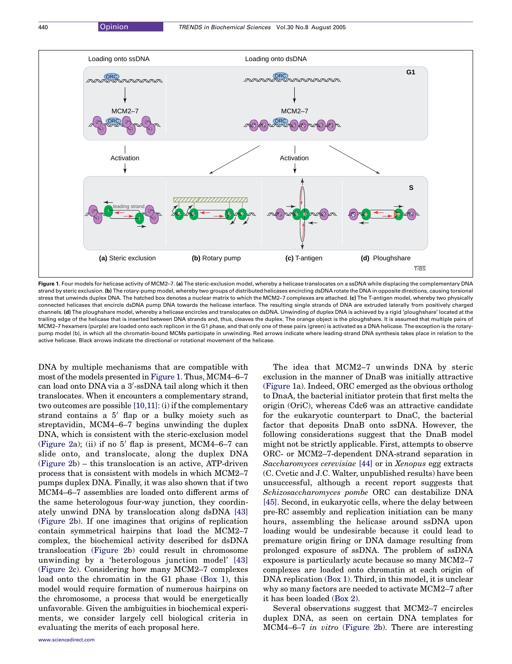<span id="page-3-0"></span>

Figure 1. Four models for helicase activity of MCM2–7. (a) The steric-exclusion model, whereby a helicase translocates on a ssDNA while displacing the complementary DNA strand by steric exclusion. (b) The rotary-pump model, whereby two groups of distributed helicases encircling dsDNA rotate the DNA in opposite directions, causing torsional stress that unwinds duplex DNA. The hatched box denotes a nuclear matrix to which the MCM2-7 complexes are attached. (c) The T-antigen model, whereby two physically connected helicases that encircle dsDNA pump DNA towards the helicase interface. The resulting single strands of DNA are extruded laterally from positively charged channels. (d) The ploughshare model, whereby a helicase encircles and translocates on dsDNA. Unwinding of duplex DNA is achieved by a rigid 'ploughshare' located at the trailing edge of the helicase that is inserted between DNA strands and, thus, cleaves the duplex. The orange object is the ploughshare. It is assumed that multiple pairs of MCM2–7 hexamers (purple) are loaded onto each replicon in the G1 phase, and that only one of these pairs (green) is activated as a DNA helicase. The exception is the rotarypump model (b), in which all the chromatin-bound MCMs participate in unwinding. Red arrows indicate where leading-strand DNA synthesis takes place in relation to the active helicase. Black arrows indicate the directional or rotational movement of the helicase.

DNA by multiple mechanisms that are compatible with most of the models presented in Figure 1. Thus, MCM4–6–7 can load onto DNA via a 3'-ssDNA tail along which it then translocates. When it encounters a complementary strand, two outcomes are possible [\[10,11\]:](#page-6-0) (i) if the complementary strand contains a  $5'$  flap or a bulky moiety such as streptavidin, MCM4–6–7 begins unwinding the duplex DNA, which is consistent with the steric-exclusion model ([Figure 2](#page-4-0)a); (ii) if no  $5'$  flap is present, MCM4–6–7 can slide onto, and translocate, along the duplex DNA ([Figure 2b](#page-4-0)) – this translocation is an active, ATP-driven process that is consistent with models in which MCM2–7 pumps duplex DNA. Finally, it was also shown that if two MCM4–6–7 assemblies are loaded onto different arms of the same heterologous four-way junction, they coordinately unwind DNA by translocation along dsDNA [\[43\]](#page-6-0) ([Figure 2](#page-4-0)b). If one imagines that origins of replication contain symmetrical hairpins that load the MCM2–7 complex, the biochemical activity described for dsDNA translocation [\(Figure 2b](#page-4-0)) could result in chromosome unwinding by a 'heterologous junction model' [\[43\]](#page-6-0) ([Figure 2](#page-4-0)c). Considering how many MCM2–7 complexes load onto the chromatin in the G1 phase (Box 1), this model would require formation of numerous hairpins on the chromosome, a process that would be energetically unfavorable. Given the ambiguities in biochemical experiments, we consider largely cell biological criteria in evaluating the merits of each proposal here.

The idea that MCM2–7 unwinds DNA by steric exclusion in the manner of DnaB was initially attractive (Figure 1a). Indeed, ORC emerged as the obvious ortholog to DnaA, the bacterial initiator protein that first melts the origin (OriC), whereas Cdc6 was an attractive candidate for the eukaryotic counterpart to DnaC, the bacterial factor that deposits DnaB onto ssDNA. However, the following considerations suggest that the DnaB model might not be strictly applicable. First, attempts to observe ORC- or MCM2–7-dependent DNA-strand separation in Saccharomyces cerevisiae [\[44\]](#page-6-0) or in Xenopus egg extracts (C. Cvetic and J.C. Walter, unpublished results) have been unsuccessful, although a recent report suggests that Schizosaccharomyces pombe ORC can destabilize DNA [\[45\].](#page-6-0) Second, in eukaryotic cells, where the delay between pre-RC assembly and replication initiation can be many hours, assembling the helicase around ssDNA upon loading would be undesirable because it could lead to premature origin firing or DNA damage resulting from prolonged exposure of ssDNA. The problem of ssDNA exposure is particularly acute because so many MCM2–7 complexes are loaded onto chromatin at each origin of DNA replication (Box 1). Third, in this model, it is unclear why so many factors are needed to activate MCM2–7 after it has been loaded (Box 2).

Several observations suggest that MCM2–7 encircles duplex DNA, as seen on certain DNA templates for MCM4–6–7 in vitro ([Figure 2](#page-4-0)b). There are interesting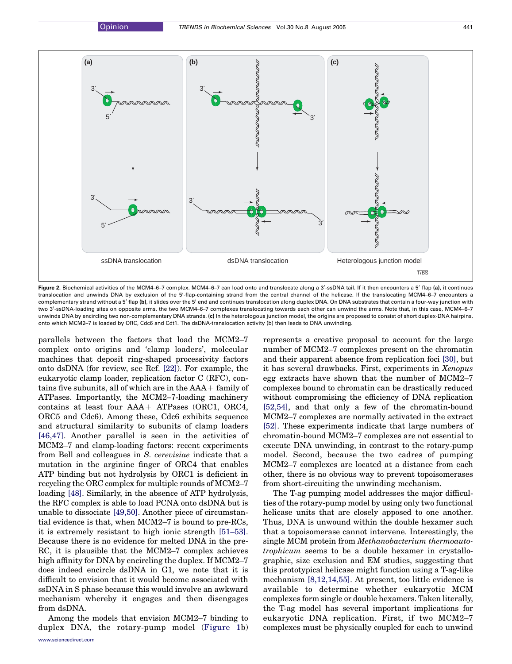<span id="page-4-0"></span>

Figure 2. Biochemical activities of the MCM4–6-7 complex. MCM4–6–7 can load onto and translocate along a 3'-ssDNA tail. If it then encounters a 5' flap (a), it continues translocation and unwinds DNA by exclusion of the 5'-flap-containing strand from the central channel of the helicase. If the translocating MCM4-6-7 encounters a complementary strand without a 5' flap (b), it slides over the 5' end and continues translocation along duplex DNA. On DNA substrates that contain a four-way junction with two 3'-ssDNA-loading sites on opposite arms, the two MCM4-6-7 complexes translocating towards each other can unwind the arms. Note that, in this case, MCM4-6-7 unwinds DNA by encircling two non-complementary DNA strands. (c) In the heterologous junction model, the origins are proposed to consist of short duplex-DNA hairpins, onto which MCM2–7 is loaded by ORC, Cdc6 and Cdt1. The dsDNA-translocation activity (b) then leads to DNA unwinding.

parallels between the factors that load the MCM2–7 complex onto origins and 'clamp loaders', molecular machines that deposit ring-shaped processivity factors onto dsDNA (for review, see Ref. [\[22\]\)](#page-6-0). For example, the eukaryotic clamp loader, replication factor C (RFC), contains five subunits, all of which are in the  $AAA+$  family of ATPases. Importantly, the MCM2–7-loading machinery contains at least four  $AA + ATP$ ases (ORC1, ORC4, ORC5 and Cdc6). Among these, Cdc6 exhibits sequence and structural similarity to subunits of clamp loaders [\[46,47\]](#page-6-0). Another parallel is seen in the activities of MCM2–7 and clamp-loading factors: recent experiments from Bell and colleagues in S. cerevisiae indicate that a mutation in the arginine finger of ORC4 that enables ATP binding but not hydrolysis by ORC1 is deficient in recycling the ORC complex for multiple rounds of MCM2–7 loading [\[48\].](#page-7-0) Similarly, in the absence of ATP hydrolysis, the RFC complex is able to load PCNA onto dsDNA but is unable to dissociate [\[49,50\].](#page-7-0) Another piece of circumstantial evidence is that, when MCM2–7 is bound to pre-RCs, it is extremely resistant to high ionic strength [\[51–53\]](#page-7-0). Because there is no evidence for melted DNA in the pre-RC, it is plausible that the MCM2–7 complex achieves high affinity for DNA by encircling the duplex. If MCM2–7 does indeed encircle dsDNA in G1, we note that it is difficult to envision that it would become associated with ssDNA in S phase because this would involve an awkward mechanism whereby it engages and then disengages from dsDNA.

Among the models that envision MCM2–7 binding to duplex DNA, the rotary-pump model [\(Figure 1](#page-3-0)b) represents a creative proposal to account for the large number of MCM2–7 complexes present on the chromatin and their apparent absence from replication foci [\[30\],](#page-6-0) but it has several drawbacks. First, experiments in Xenopus egg extracts have shown that the number of MCM2–7 complexes bound to chromatin can be drastically reduced without compromising the efficiency of DNA replication [\[52,54\],](#page-7-0) and that only a few of the chromatin-bound MCM2–7 complexes are normally activated in the extract [\[52\].](#page-7-0) These experiments indicate that large numbers of chromatin-bound MCM2–7 complexes are not essential to execute DNA unwinding, in contrast to the rotary-pump model. Second, because the two cadres of pumping MCM2–7 complexes are located at a distance from each other, there is no obvious way to prevent topoisomerases from short-circuiting the unwinding mechanism.

The T-ag pumping model addresses the major difficulties of the rotary-pump model by using only two functional helicase units that are closely apposed to one another. Thus, DNA is unwound within the double hexamer such that a topoisomerase cannot intervene. Interestingly, the single MCM protein from Methanobacterium thermoautotrophicum seems to be a double hexamer in crystallographic, size exclusion and EM studies, suggesting that this prototypical helicase might function using a T-ag-like mechanism [\[8,12,14,55\].](#page-6-0) At present, too little evidence is available to determine whether eukaryotic MCM complexes form single or double hexamers. Taken literally, the T-ag model has several important implications for eukaryotic DNA replication. First, if two MCM2–7 complexes must be physically coupled for each to unwind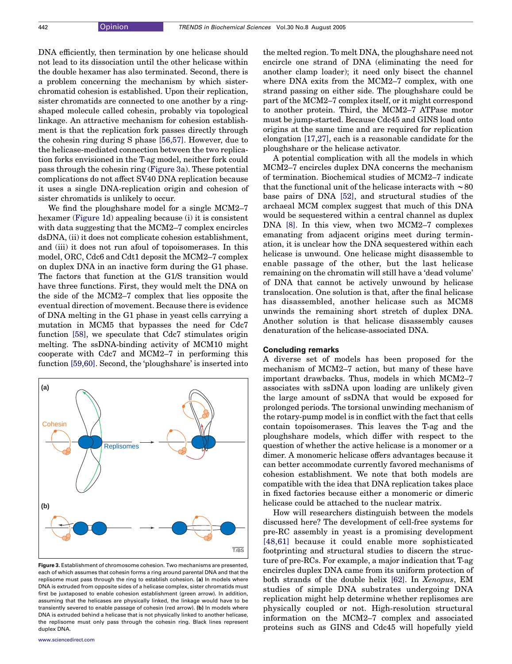DNA efficiently, then termination by one helicase should not lead to its dissociation until the other helicase within the double hexamer has also terminated. Second, there is a problem concerning the mechanism by which sisterchromatid cohesion is established. Upon their replication, sister chromatids are connected to one another by a ringshaped molecule called cohesin, probably via topological linkage. An attractive mechanism for cohesion establishment is that the replication fork passes directly through the cohesin ring during S phase [\[56,57\].](#page-7-0) However, due to the helicase-mediated connection between the two replication forks envisioned in the T-ag model, neither fork could pass through the cohesin ring (Figure 3a). These potential complications do not affect SV40 DNA replication because it uses a single DNA-replication origin and cohesion of sister chromatids is unlikely to occur.

We find the ploughshare model for a single MCM2–7 hexamer [\(Figure 1](#page-3-0)d) appealing because (i) it is consistent with data suggesting that the MCM2–7 complex encircles dsDNA, (ii) it does not complicate cohesion establishment, and (iii) it does not run afoul of topoisomerases. In this model, ORC, Cdc6 and Cdt1 deposit the MCM2–7 complex on duplex DNA in an inactive form during the G1 phase. The factors that function at the G1/S transition would have three functions. First, they would melt the DNA on the side of the MCM2–7 complex that lies opposite the eventual direction of movement. Because there is evidence of DNA melting in the G1 phase in yeast cells carrying a mutation in MCM5 that bypasses the need for Cdc7 function [\[58\]](#page-7-0), we speculate that Cdc7 stimulates origin melting. The ssDNA-binding activity of MCM10 might cooperate with Cdc7 and MCM2–7 in performing this function [\[59,60\]](#page-7-0). Second, the 'ploughshare' is inserted into



Figure 3. Establishment of chromosome cohesion. Two mechanisms are presented. each of which assumes that cohesin forms a ring around parental DNA and that the replisome must pass through the ring to establish cohesion. (a) In models where DNA is extruded from opposite sides of a helicase complex, sister chromatids must first be juxtaposed to enable cohesion establishment (green arrow). In addition, assuming that the helicases are physically linked, the linkage would have to be transiently severed to enable passage of cohesin (red arrow). (b) In models where DNA is extruded behind a helicase that is not physically linked to another helicase, the replisome must only pass through the cohesin ring. Black lines represent duplex DNA.

the melted region. To melt DNA, the ploughshare need not encircle one strand of DNA (eliminating the need for another clamp loader); it need only bisect the channel where DNA exits from the MCM2–7 complex, with one strand passing on either side. The ploughshare could be part of the MCM2–7 complex itself, or it might correspond to another protein. Third, the MCM2–7 ATPase motor must be jump-started. Because Cdc45 and GINS load onto origins at the same time and are required for replication elongation [\[17,27\]](#page-6-0), each is a reasonable candidate for the ploughshare or the helicase activator.

A potential complication with all the models in which MCM2–7 encircles duplex DNA concerns the mechanism of termination. Biochemical studies of MCM2–7 indicate that the functional unit of the helicase interacts with  $\sim80$ base pairs of DNA [\[52\],](#page-7-0) and structural studies of the archaeal MCM complex suggest that much of this DNA would be sequestered within a central channel as duplex DNA [\[8\]](#page-6-0). In this view, when two MCM2–7 complexes emanating from adjacent origins meet during termination, it is unclear how the DNA sequestered within each helicase is unwound. One helicase might disassemble to enable passage of the other, but the last helicase remaining on the chromatin will still have a 'dead volume' of DNA that cannot be actively unwound by helicase translocation. One solution is that, after the final helicase has disassembled, another helicase such as MCM8 unwinds the remaining short stretch of duplex DNA. Another solution is that helicase disassembly causes denaturation of the helicase-associated DNA.

#### Concluding remarks

A diverse set of models has been proposed for the mechanism of MCM2–7 action, but many of these have important drawbacks. Thus, models in which MCM2–7 associates with ssDNA upon loading are unlikely given the large amount of ssDNA that would be exposed for prolonged periods. The torsional unwinding mechanism of the rotary-pump model is in conflict with the fact that cells contain topoisomerases. This leaves the T-ag and the ploughshare models, which differ with respect to the question of whether the active helicase is a monomer or a dimer. A monomeric helicase offers advantages because it can better accommodate currently favored mechanisms of cohesion establishment. We note that both models are compatible with the idea that DNA replication takes place in fixed factories because either a monomeric or dimeric helicase could be attached to the nuclear matrix.

How will researchers distinguish between the models discussed here? The development of cell-free systems for pre-RC assembly in yeast is a promising development [\[48,61\]](#page-7-0) because it could enable more sophisticated footprinting and structural studies to discern the structure of pre-RCs. For example, a major indication that T-ag encircles duplex DNA came from its uniform protection of both strands of the double helix [\[62\]](#page-7-0). In Xenopus, EM studies of simple DNA substrates undergoing DNA replication might help determine whether replisomes are physically coupled or not. High-resolution structural information on the MCM2–7 complex and associated proteins such as GINS and Cdc45 will hopefully yield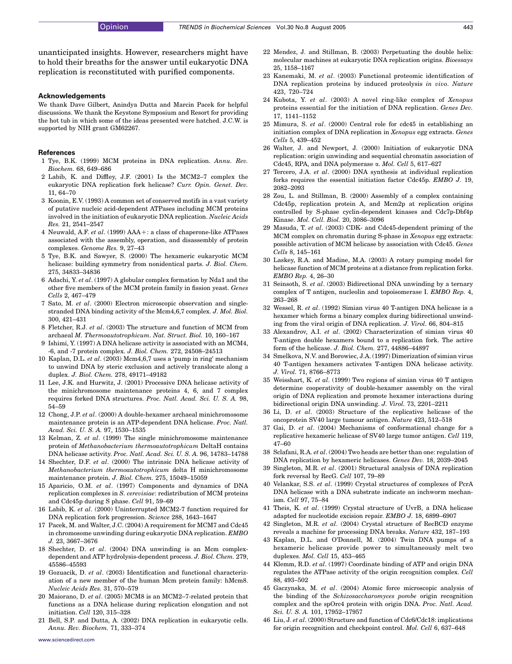<span id="page-6-0"></span>unanticipated insights. However, researchers might have to hold their breaths for the answer until eukaryotic DNA replication is reconstituted with purified components.

#### Acknowledgements

We thank Dave Gilbert, Anindya Dutta and Marcin Pacek for helpful discussions. We thank the Keystone Symposium and Resort for providing the hot tub in which some of the ideas presented were hatched. J.C.W. is supported by NIH grant GM62267.

#### References

- 1 Tye, B.K. (1999) MCM proteins in DNA replication. Annu. Rev. Biochem. 68, 649–686
- 2 Labib, K. and Diffley, J.F. (2001) Is the MCM2–7 complex the eukaryotic DNA replication fork helicase? Curr. Opin. Genet. Dev. 11, 64–70
- 3 Koonin, E.V. (1993) A common set of conserved motifs in a vast variety of putative nucleic acid-dependent ATPases including MCM proteins involved in the initiation of eukaryotic DNA replication. Nucleic Acids Res. 21, 2541–2547
- 4 Neuwald, A.F. et al. (1999)  $AA+:$  a class of chaperone-like ATPases associated with the assembly, operation, and disassembly of protein complexes. Genome Res. 9, 27–43
- 5 Tye, B.K. and Sawyer, S. (2000) The hexameric eukaryotic MCM helicase: building symmetry from nonidentical parts. J. Biol. Chem. 275, 34833–34836
- 6 Adachi, Y. et al. (1997) A globular complex formation by Nda1 and the other five members of the MCM protein family in fission yeast. Genes Cells 2, 467–479
- 7 Sato, M. et al. (2000) Electron microscopic observation and singlestranded DNA binding activity of the Mcm4,6,7 complex. J. Mol. Biol. 300, 421–431
- 8 Fletcher, R.J. et al. (2003) The structure and function of MCM from archaeal M. Thermoautotrophicum. Nat. Struct. Biol. 10, 160–167
- 9 Ishimi, Y. (1997) A DNA helicase activity is associated with an MCM4, -6, and -7 protein complex. J. Biol. Chem. 272, 24508–24513
- 10 Kaplan, D.L. et al. (2003) Mcm4,6,7 uses a 'pump in ring' mechanism to unwind DNA by steric exclusion and actively translocate along a duplex. J. Biol. Chem. 278, 49171–49182
- 11 Lee, J.K. and Hurwitz, J. (2001) Processive DNA helicase activity of the minichromosome maintenance proteins 4, 6, and 7 complex requires forked DNA structures. Proc. Natl. Acad. Sci. U. S. A. 98, 54–59
- 12 Chong, J.P. et al. (2000) A double-hexamer archaeal minichromosome maintenance protein is an ATP-dependent DNA helicase. Proc. Natl. Acad. Sci. U. S. A. 97, 1530–1535
- 13 Kelman, Z. et al. (1999) The single minichromosome maintenance protein of Methanobacterium thermoautotrophicum DeltaH contains DNA helicase activity. Proc. Natl. Acad. Sci. U. S. A. 96, 14783–14788
- 14 Shechter, D.F. et al. (2000) The intrinsic DNA helicase activity of Methanobacterium thermoautotrophicum delta H minichromosome maintenance protein. J. Biol. Chem. 275, 15049–15059
- 15 Aparicio, O.M. et al. (1997) Components and dynamics of DNA replication complexes in S. cerevisiae: redistribution of MCM proteins and Cdc45p during S phase. Cell 91, 59–69
- 16 Labib, K. et al. (2000) Uninterrupted MCM2-7 function required for DNA replication fork progression. Science 288, 1643–1647
- 17 Pacek, M. and Walter, J.C. (2004) A requirement for MCM7 and Cdc45 in chromosome unwinding during eukaryotic DNA replication. EMBO J. 23, 3667–3676
- 18 Shechter, D. et al. (2004) DNA unwinding is an Mcm complexdependent and ATP hydrolysis-dependent process. J. Biol. Chem. 279, 45586–45593
- 19 Gozuacik, D. et al. (2003) Identification and functional characterization of a new member of the human Mcm protein family: hMcm8. Nucleic Acids Res. 31, 570–579
- 20 Maiorano, D. et al. (2005) MCM8 is an MCM2–7-related protein that functions as a DNA helicase during replication elongation and not initiation. Cell 120, 315–328
- 21 Bell, S.P. and Dutta, A. (2002) DNA replication in eukaryotic cells. Annu. Rev. Biochem. 71, 333–374
- 22 Mendez, J. and Stillman, B. (2003) Perpetuating the double helix: molecular machines at eukaryotic DNA replication origins. Bioessays 25, 1158–1167
- 23 Kanemaki, M. et al. (2003) Functional proteomic identification of DNA replication proteins by induced proteolysis in vivo. Nature 423, 720–724
- 24 Kubota, Y. et al. (2003) A novel ring-like complex of Xenopus proteins essential for the initiation of DNA replication. Genes Dev. 17, 1141–1152
- 25 Mimura, S. et al. (2000) Central role for cdc45 in establishing an initiation complex of DNA replication in Xenopus egg extracts. Genes Cells 5, 439–452
- 26 Walter, J. and Newport, J. (2000) Initiation of eukaryotic DNA replication: origin unwinding and sequential chromatin association of Cdc45, RPA, and DNA polymerase  $\alpha$ . Mol. Cell 5, 617–627
- 27 Tercero, J.A. et al. (2000) DNA synthesis at individual replication forks requires the essential initiation factor Cdc45p. EMBO J. 19, 2082–2093
- 28 Zou, L. and Stillman, B. (2000) Assembly of a complex containing Cdc45p, replication protein A, and Mcm2p at replication origins controlled by S-phase cyclin-dependent kinases and Cdc7p-Dbf4p Kinase. Mol. Cell. Biol. 20, 3086–3096
- 29 Masuda, T. et al. (2003) CDK- and Cdc45-dependent priming of the MCM complex on chromatin during S-phase in Xenopus egg extracts: possible activation of MCM helicase by association with Cdc45. Genes Cells 8, 145–161
- 30 Laskey, R.A. and Madine, M.A. (2003) A rotary pumping model for helicase function of MCM proteins at a distance from replication forks. EMBO Rep. 4, 26–30
- 31 Seinsoth, S. et al. (2003) Bidirectional DNA unwinding by a ternary complex of T antigen, nucleolin and topoisomerase I. EMBO Rep. 4, 263–268
- 32 Wessel, R. et al. (1992) Simian virus 40 T-antigen DNA helicase is a hexamer which forms a binary complex during bidirectional unwinding from the viral origin of DNA replication. J. Virol. 66, 804–815
- 33 Alexandrov, A.I. et al. (2002) Characterization of simian virus 40 T-antigen double hexamers bound to a replication fork. The active form of the helicase. J. Biol. Chem. 277, 44886–44897
- 34 Smelkova, N.V. and Borowiec, J.A. (1997) Dimerization of simian virus 40 T-antigen hexamers activates T-antigen DNA helicase activity. J. Virol. 71, 8766–8773
- 35 Weisshart, K. et al. (1999) Two regions of simian virus 40 T antigen determine cooperativity of double-hexamer assembly on the viral origin of DNA replication and promote hexamer interactions during bidirectional origin DNA unwinding. J. Virol. 73, 2201–2211
- 36 Li, D. et al. (2003) Structure of the replicative helicase of the oncoprotein SV40 large tumour antigen. Nature 423, 512–518
- 37 Gai, D. et al. (2004) Mechanisms of conformational change for a replicative hexameric helicase of SV40 large tumor antigen. Cell 119, 47–60
- 38 Sclafani, R.A. et al. (2004) Two heads are better than one: regulation of DNA replication by hexameric helicases. Genes Dev. 18, 2039–2045
- 39 Singleton, M.R. et al. (2001) Structural analysis of DNA replication fork reversal by RecG. Cell 107, 79–89
- 40 Velankar, S.S. et al. (1999) Crystal structures of complexes of PcrA DNA helicase with a DNA substrate indicate an inchworm mechanism. Cell 97, 75–84
- 41 Theis, K. et al. (1999) Crystal structure of UvrB, a DNA helicase adapted for nucleotide excision repair. EMBO J. 18, 6899–6907
- 42 Singleton, M.R. et al. (2004) Crystal structure of RecBCD enzyme reveals a machine for processing DNA breaks. Nature 432, 187–193
- 43 Kaplan, D.L. and O'Donnell, M. (2004) Twin DNA pumps of a hexameric helicase provide power to simultaneously melt two duplexes. Mol. Cell 15, 453–465
- 44 Klemm, R.D. et al. (1997) Coordinate binding of ATP and origin DNA regulates the ATPase activity of the origin recognition complex. Cell 88, 493–502
- 45 Gaczynska, M. et al. (2004) Atomic force microscopic analysis of the binding of the Schizosaccharomyces pombe origin recognition complex and the spOrc4 protein with origin DNA. Proc. Natl. Acad. Sci. U. S. A. 101, 17952–17957
- 46 Liu, J. et al. (2000) Structure and function of Cdc6/Cdc18: implications for origin recognition and checkpoint control. Mol. Cell 6, 637–648